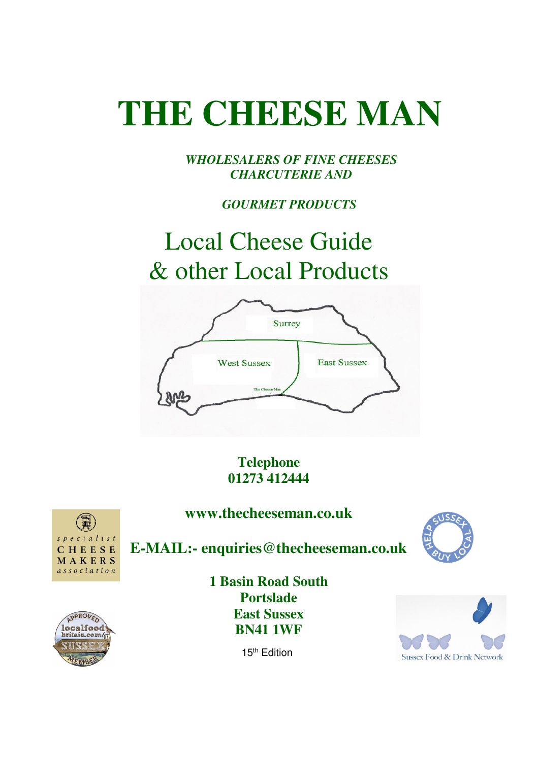*WHOLESALERS OF FINE CHEESES CHARCUTERIE AND* 

 *GOURMET PRODUCTS* 

## Local Cheese Guide & other Local Products



**Telephone 01273 412444** 

**www.thecheeseman.co.uk**



**E-MAIL:- enquiries@thecheeseman.co.uk**





**1 Basin Road South Portslade East Sussex BN41 1WF** 



15<sup>th</sup> Edition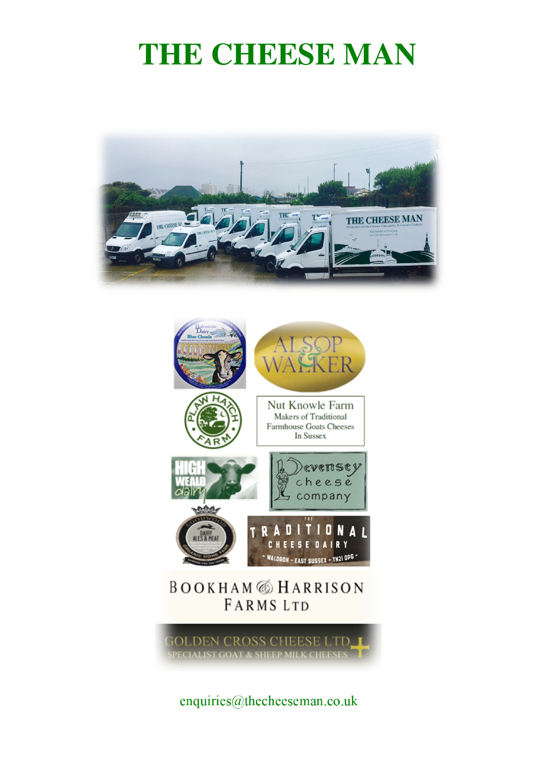



enquiries@thecheeseman.co.uk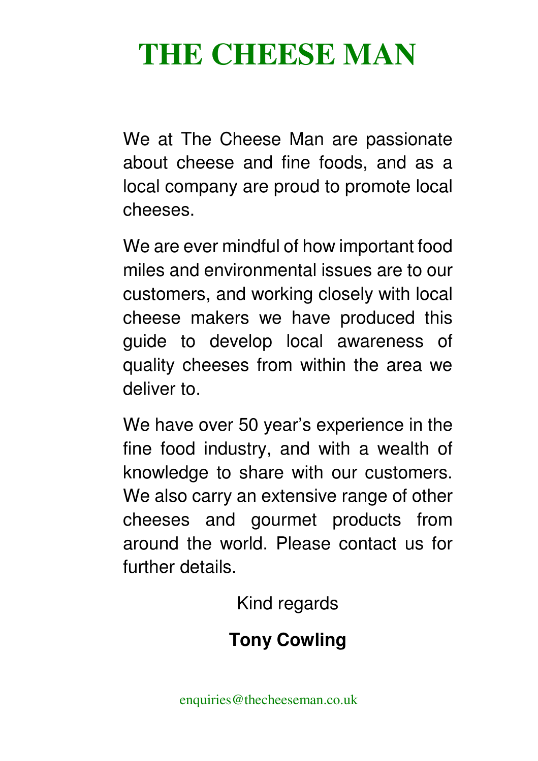We at The Cheese Man are passionate about cheese and fine foods, and as a local company are proud to promote local cheeses.

We are ever mindful of how important food miles and environmental issues are to our customers, and working closely with local cheese makers we have produced this guide to develop local awareness of quality cheeses from within the area we deliver to.

We have over 50 year's experience in the fine food industry, and with a wealth of knowledge to share with our customers. We also carry an extensive range of other cheeses and gourmet products from around the world. Please contact us for further details.

Kind regards

## **Tony Cowling**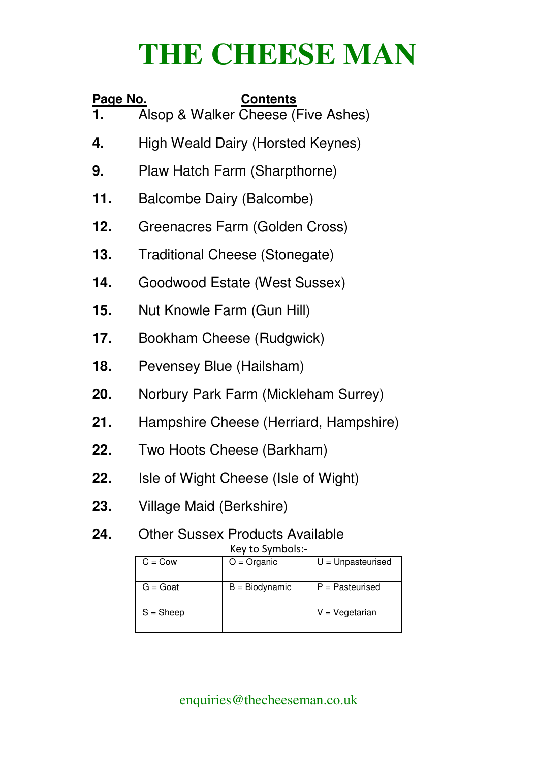| <u>Page No.</u> | <b>Contents</b>                                                       |  |
|-----------------|-----------------------------------------------------------------------|--|
|                 | Alsop & Walker Cheese (Five Ashes)                                    |  |
| 4.              | High Weald Dairy (Horsted Keynes)                                     |  |
| 9.              | Plaw Hatch Farm (Sharpthorne)                                         |  |
| 11.             | Balcombe Dairy (Balcombe)                                             |  |
| 12.             | Greenacres Farm (Golden Cross)                                        |  |
| 13.             | <b>Traditional Cheese (Stonegate)</b>                                 |  |
| 14.             | Goodwood Estate (West Sussex)                                         |  |
| 15.             | Nut Knowle Farm (Gun Hill)                                            |  |
| 17.             | Bookham Cheese (Rudgwick)                                             |  |
| 18.             | Pevensey Blue (Hailsham)                                              |  |
| 20.             | Norbury Park Farm (Mickleham Surrey)                                  |  |
| 21.             | Hampshire Cheese (Herriard, Hampshire)                                |  |
| 22.             | Two Hoots Cheese (Barkham)                                            |  |
| 22.             | Isle of Wight Cheese (Isle of Wight)                                  |  |
| 23.             | Village Maid (Berkshire)                                              |  |
| 24.             | <b>Other Sussex Products Available</b>                                |  |
|                 | Key to Symbols:-<br>$C = Cow$<br>$U =$ Unpasteurised<br>$O =$ Organic |  |
|                 | $G = Good$<br>$B =$ Biodynamic<br>$P =$ Pasteurised                   |  |

enquiries@thecheeseman.co.uk

 $S = Sheep$   $V = Vegetarian$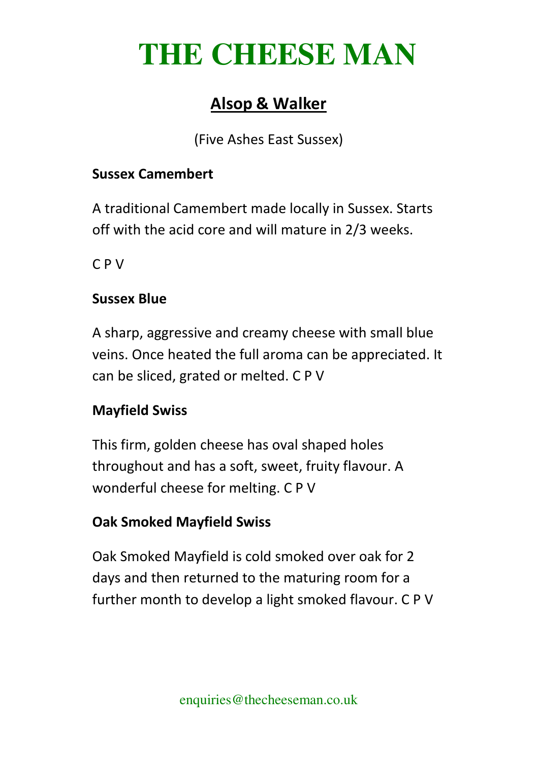## **Alsop & Walker**

(Five Ashes East Sussex)

#### **Sussex Camembert**

A traditional Camembert made locally in Sussex. Starts off with the acid core and will mature in 2/3 weeks.

C P V

#### **Sussex Blue**

A sharp, aggressive and creamy cheese with small blue veins. Once heated the full aroma can be appreciated. It can be sliced, grated or melted. C P V

## **Mayfield Swiss**

This firm, golden cheese has oval shaped holes throughout and has a soft, sweet, fruity flavour. A wonderful cheese for melting. C P V

## **Oak Smoked Mayfield Swiss**

Oak Smoked Mayfield is cold smoked over oak for 2 days and then returned to the maturing room for a further month to develop a light smoked flavour. C P V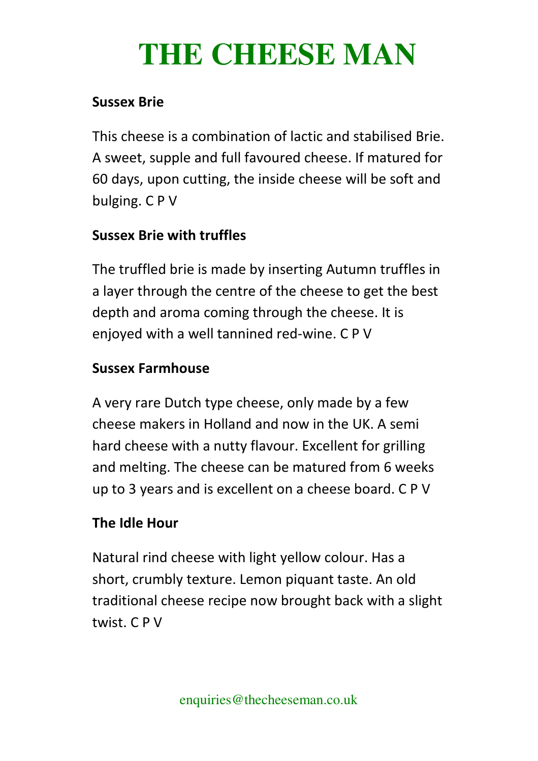#### **Sussex Brie**

This cheese is a combination of lactic and stabilised Brie. A sweet, supple and full favoured cheese. If matured for 60 days, upon cutting, the inside cheese will be soft and bulging. C P V

## **Sussex Brie with truffles**

The truffled brie is made by inserting Autumn truffles in a layer through the centre of the cheese to get the best depth and aroma coming through the cheese. It is enjoyed with a well tannined red-wine. C P V

## **Sussex Farmhouse**

A very rare Dutch type cheese, only made by a few cheese makers in Holland and now in the UK. A semi hard cheese with a nutty flavour. Excellent for grilling and melting. The cheese can be matured from 6 weeks up to 3 years and is excellent on a cheese board. C P V

## **The Idle Hour**

Natural rind cheese with light yellow colour. Has a short, crumbly texture. Lemon piquant taste. An old traditional cheese recipe now brought back with a slight twist. C P V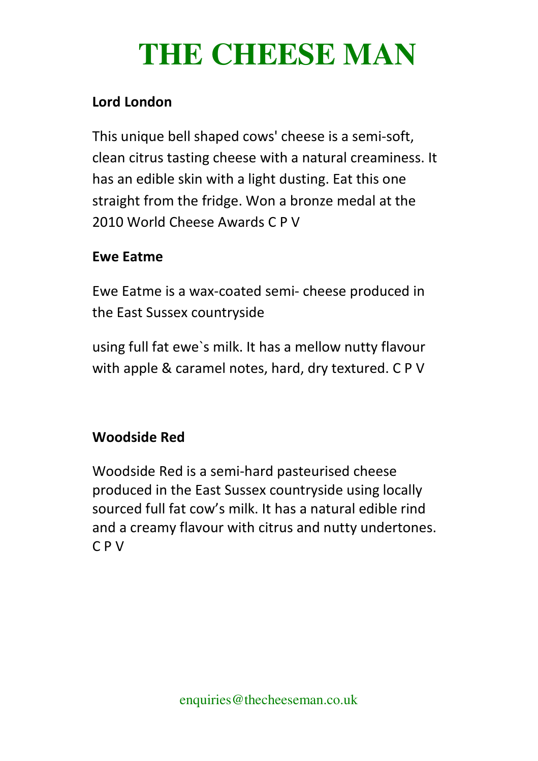## **Lord London**

This unique bell shaped cows' cheese is a semi-soft, clean citrus tasting cheese with a natural creaminess. It has an edible skin with a light dusting. Eat this one straight from the fridge. Won a bronze medal at the 2010 World Cheese Awards C P V

#### **Ewe Eatme**

Ewe Eatme is a wax-coated semi- cheese produced in the East Sussex countryside

using full fat ewe`s milk. It has a mellow nutty flavour with apple & caramel notes, hard, dry textured. C P V

## **Woodside Red**

Woodside Red is a semi-hard pasteurised cheese produced in the East Sussex countryside using locally sourced full fat cow's milk. It has a natural edible rind and a creamy flavour with citrus and nutty undertones. C P V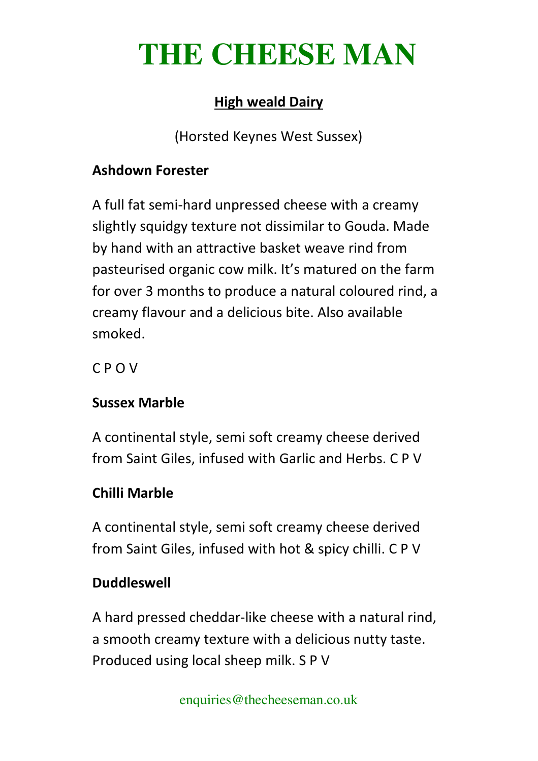## **High weald Dairy**

(Horsted Keynes West Sussex)

#### **Ashdown Forester**

A full fat semi-hard unpressed cheese with a creamy slightly squidgy texture not dissimilar to Gouda. Made by hand with an attractive basket weave rind from pasteurised organic cow milk. It's matured on the farm for over 3 months to produce a natural coloured rind, a creamy flavour and a delicious bite. Also available smoked.

C P O V

## **Sussex Marble**

A continental style, semi soft creamy cheese derived from Saint Giles, infused with Garlic and Herbs. C P V

## **Chilli Marble**

A continental style, semi soft creamy cheese derived from Saint Giles, infused with hot & spicy chilli. C P V

## **Duddleswell**

A hard pressed cheddar-like cheese with a natural rind, a smooth creamy texture with a delicious nutty taste. Produced using local sheep milk. S P V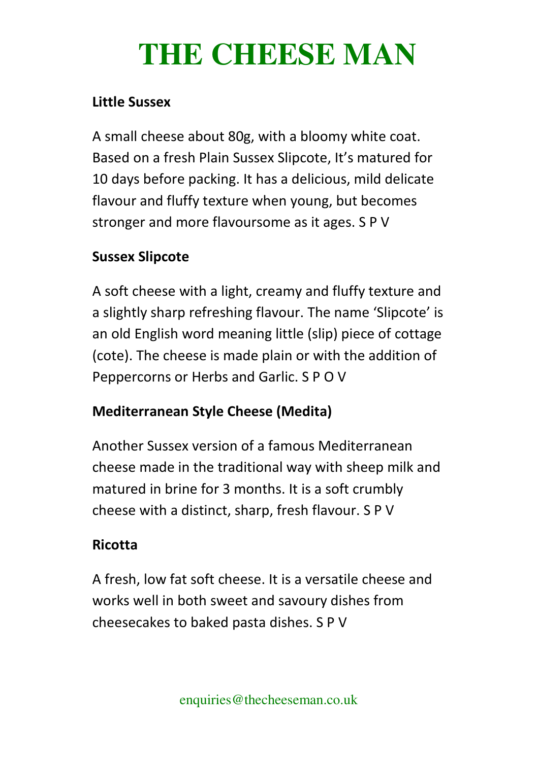#### **Little Sussex**

A small cheese about 80g, with a bloomy white coat. Based on a fresh Plain Sussex Slipcote, It's matured for 10 days before packing. It has a delicious, mild delicate flavour and fluffy texture when young, but becomes stronger and more flavoursome as it ages. S P V

## **Sussex Slipcote**

A soft cheese with a light, creamy and fluffy texture and a slightly sharp refreshing flavour. The name 'Slipcote' is an old English word meaning little (slip) piece of cottage (cote). The cheese is made plain or with the addition of Peppercorns or Herbs and Garlic. S P O V

## **Mediterranean Style Cheese (Medita)**

Another Sussex version of a famous Mediterranean cheese made in the traditional way with sheep milk and matured in brine for 3 months. It is a soft crumbly cheese with a distinct, sharp, fresh flavour. S P V

## **Ricotta**

A fresh, low fat soft cheese. It is a versatile cheese and works well in both sweet and savoury dishes from cheesecakes to baked pasta dishes. S P V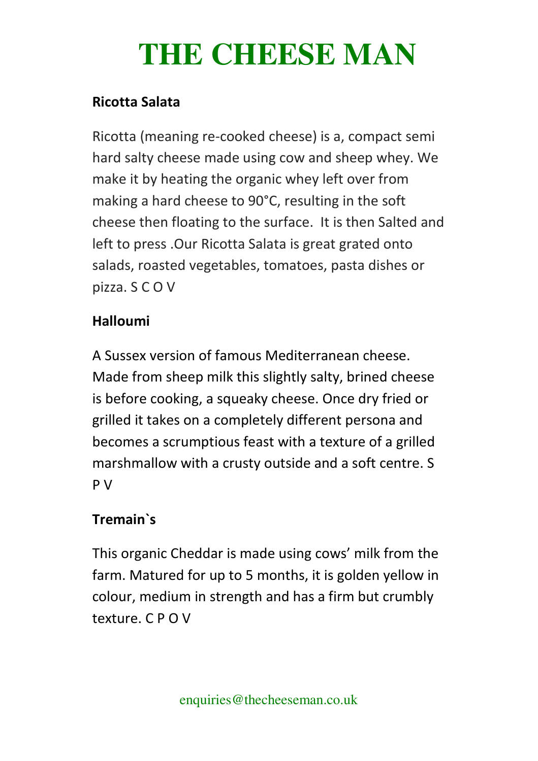#### **Ricotta Salata**

Ricotta (meaning re-cooked cheese) is a, compact semi hard salty cheese made using cow and sheep whey. We make it by heating the organic whey left over from making a hard cheese to 90°C, resulting in the soft cheese then floating to the surface. It is then Salted and left to press .Our Ricotta Salata is great grated onto salads, roasted vegetables, tomatoes, pasta dishes or pizza. S C O V

## **Halloumi**

A Sussex version of famous Mediterranean cheese. Made from sheep milk this slightly salty, brined cheese is before cooking, a squeaky cheese. Once dry fried or grilled it takes on a completely different persona and becomes a scrumptious feast with a texture of a grilled marshmallow with a crusty outside and a soft centre. S P V

## **Tremain`s**

This organic Cheddar is made using cows' milk from the farm. Matured for up to 5 months, it is golden yellow in colour, medium in strength and has a firm but crumbly texture. C P O V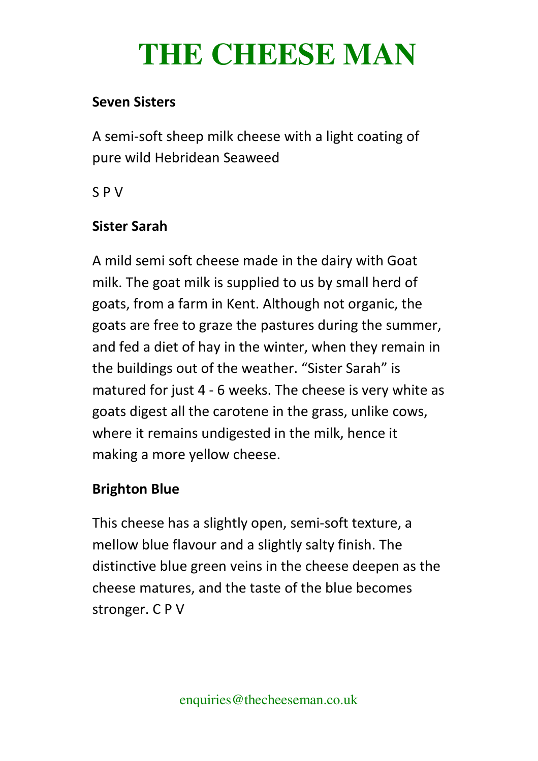#### **Seven Sisters**

A semi-soft sheep milk cheese with a light coating of pure wild Hebridean Seaweed

S P V

#### **Sister Sarah**

A mild semi soft cheese made in the dairy with Goat milk. The goat milk is supplied to us by small herd of goats, from a farm in Kent. Although not organic, the goats are free to graze the pastures during the summer, and fed a diet of hay in the winter, when they remain in the buildings out of the weather. "Sister Sarah" is matured for just 4 - 6 weeks. The cheese is very white as goats digest all the carotene in the grass, unlike cows, where it remains undigested in the milk, hence it making a more yellow cheese.

## **Brighton Blue**

This cheese has a slightly open, semi-soft texture, a mellow blue flavour and a slightly salty finish. The distinctive blue green veins in the cheese deepen as the cheese matures, and the taste of the blue becomes stronger. C P V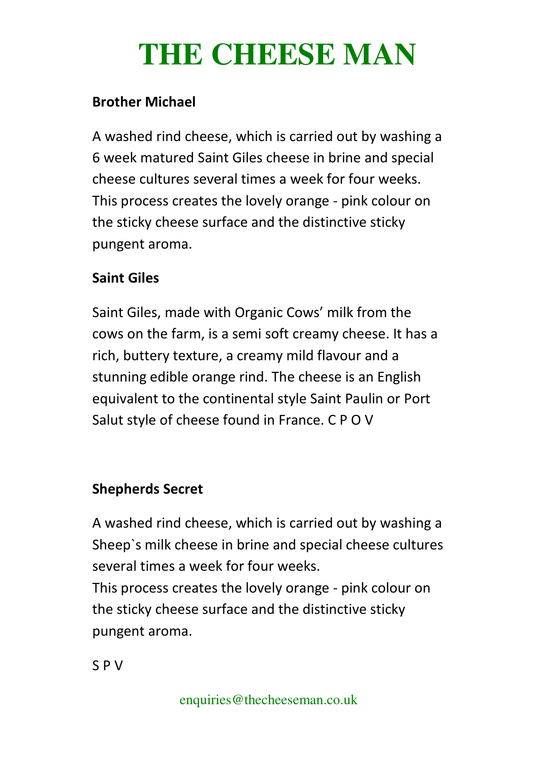#### **Brother Michael**

A washed rind cheese, which is carried out by washing a 6 week matured Saint Giles cheese in brine and special cheese cultures several times a week for four weeks. This process creates the lovely orange - pink colour on the sticky cheese surface and the distinctive sticky pungent aroma.

#### **Saint Giles**

Saint Giles, made with Organic Cows' milk from the cows on the farm, is a semi soft creamy cheese. It has a rich, buttery texture, a creamy mild flavour and a stunning edible orange rind. The cheese is an English equivalent to the continental style Saint Paulin or Port Salut style of cheese found in France. C P O V

## **Shepherds Secret**

A washed rind cheese, which is carried out by washing a Sheep`s milk cheese in brine and special cheese cultures several times a week for four weeks.

This process creates the lovely orange - pink colour on the sticky cheese surface and the distinctive sticky pungent aroma.

S P V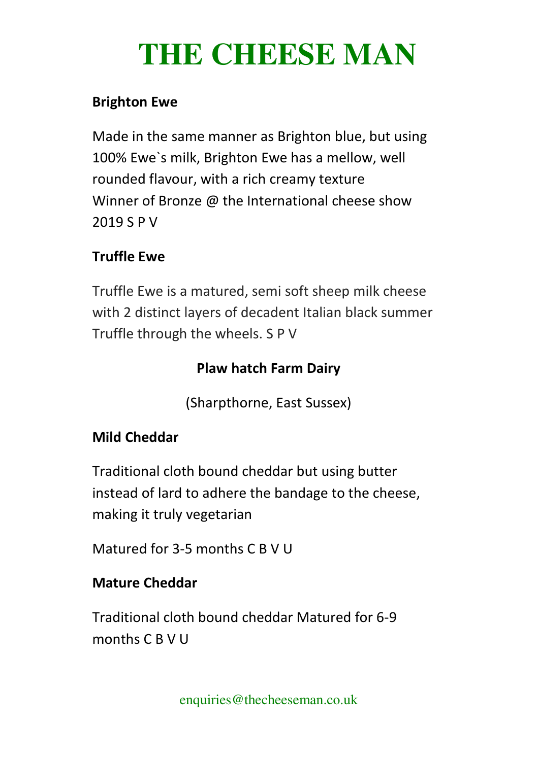#### **Brighton Ewe**

Made in the same manner as Brighton blue, but using 100% Ewe`s milk, Brighton Ewe has a mellow, well rounded flavour, with a rich creamy texture Winner of Bronze @ the International cheese show 2019 S P V

## **Truffle Ewe**

Truffle Ewe is a matured, semi soft sheep milk cheese with 2 distinct layers of decadent Italian black summer Truffle through the wheels. S P V

## **Plaw hatch Farm Dairy**

(Sharpthorne, East Sussex)

## **Mild Cheddar**

Traditional cloth bound cheddar but using butter instead of lard to adhere the bandage to the cheese, making it truly vegetarian

Matured for 3-5 months C B V U

## **Mature Cheddar**

Traditional cloth bound cheddar Matured for 6-9 months C B V U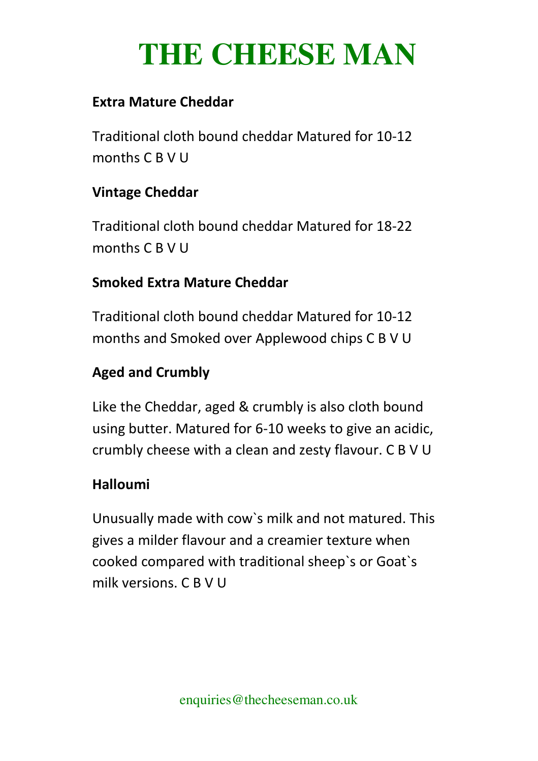#### **Extra Mature Cheddar**

Traditional cloth bound cheddar Matured for 10-12 months C B V U

#### **Vintage Cheddar**

Traditional cloth bound cheddar Matured for 18-22 months C B V U

## **Smoked Extra Mature Cheddar**

Traditional cloth bound cheddar Matured for 10-12 months and Smoked over Applewood chips C B V U

## **Aged and Crumbly**

Like the Cheddar, aged & crumbly is also cloth bound using butter. Matured for 6-10 weeks to give an acidic, crumbly cheese with a clean and zesty flavour. C B V U

## **Halloumi**

Unusually made with cow`s milk and not matured. This gives a milder flavour and a creamier texture when cooked compared with traditional sheep`s or Goat`s milk versions. C B V U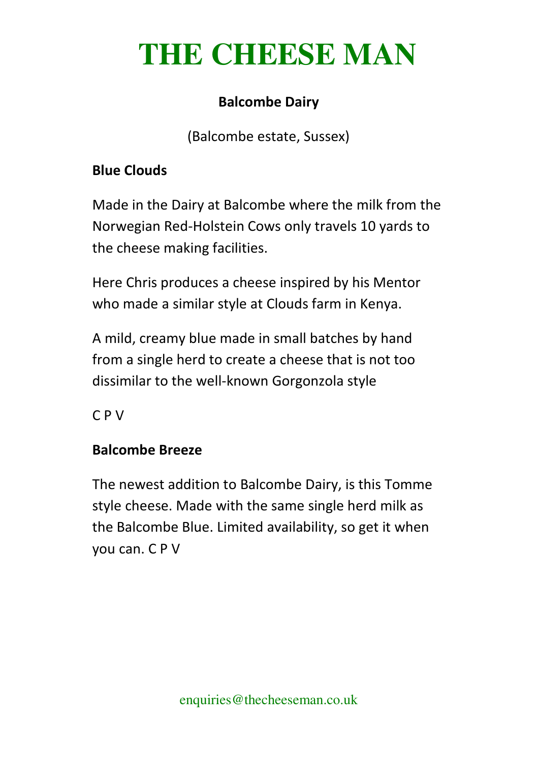## **Balcombe Dairy**

(Balcombe estate, Sussex)

## **Blue Clouds**

Made in the Dairy at Balcombe where the milk from the Norwegian Red-Holstein Cows only travels 10 yards to the cheese making facilities.

Here Chris produces a cheese inspired by his Mentor who made a similar style at Clouds farm in Kenya.

A mild, creamy blue made in small batches by hand from a single herd to create a cheese that is not too dissimilar to the well-known Gorgonzola style

C P V

## **Balcombe Breeze**

The newest addition to Balcombe Dairy, is this Tomme style cheese. Made with the same single herd milk as the Balcombe Blue. Limited availability, so get it when you can. C P V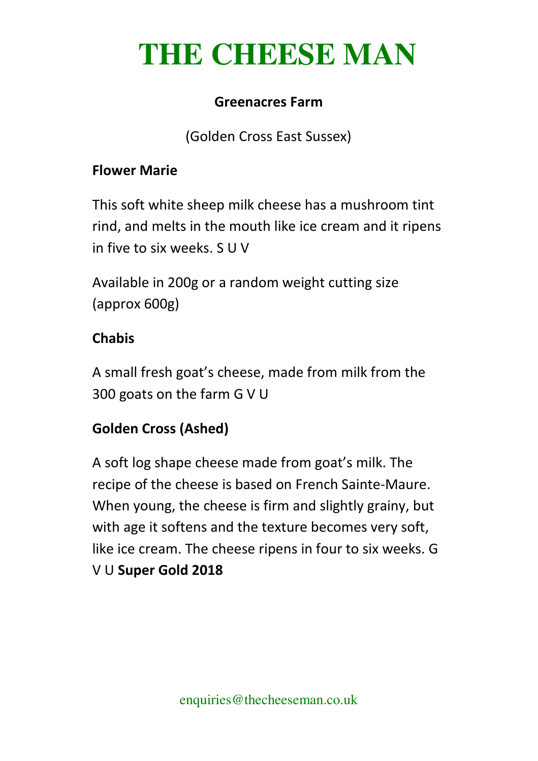#### **Greenacres Farm**

(Golden Cross East Sussex)

#### **Flower Marie**

This soft white sheep milk cheese has a mushroom tint rind, and melts in the mouth like ice cream and it ripens in five to six weeks. S U V

Available in 200g or a random weight cutting size (approx 600g)

#### **Chabis**

A small fresh goat's cheese, made from milk from the 300 goats on the farm G V U

## **Golden Cross (Ashed)**

A soft log shape cheese made from goat's milk. The recipe of the cheese is based on French Sainte-Maure. When young, the cheese is firm and slightly grainy, but with age it softens and the texture becomes very soft, like ice cream. The cheese ripens in four to six weeks. G V U **Super Gold 2018**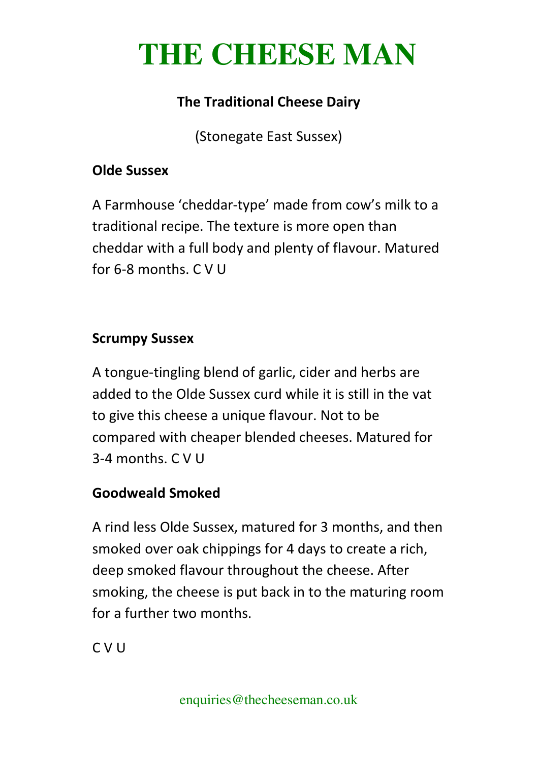## **The Traditional Cheese Dairy**

(Stonegate East Sussex)

#### **Olde Sussex**

A Farmhouse 'cheddar-type' made from cow's milk to a traditional recipe. The texture is more open than cheddar with a full body and plenty of flavour. Matured for 6-8 months. C V U

#### **Scrumpy Sussex**

A tongue-tingling blend of garlic, cider and herbs are added to the Olde Sussex curd while it is still in the vat to give this cheese a unique flavour. Not to be compared with cheaper blended cheeses. Matured for 3-4 months. C V U

## **Goodweald Smoked**

A rind less Olde Sussex, matured for 3 months, and then smoked over oak chippings for 4 days to create a rich, deep smoked flavour throughout the cheese. After smoking, the cheese is put back in to the maturing room for a further two months.

C V U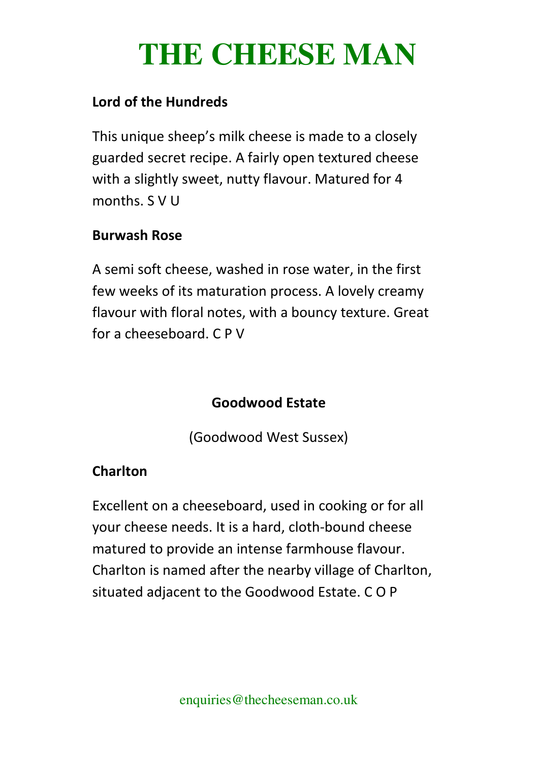#### **Lord of the Hundreds**

This unique sheep's milk cheese is made to a closely guarded secret recipe. A fairly open textured cheese with a slightly sweet, nutty flavour. Matured for 4 months. S V U

#### **Burwash Rose**

A semi soft cheese, washed in rose water, in the first few weeks of its maturation process. A lovely creamy flavour with floral notes, with a bouncy texture. Great for a cheeseboard. C P V

## **Goodwood Estate**

(Goodwood West Sussex)

## **Charlton**

Excellent on a cheeseboard, used in cooking or for all your cheese needs. It is a hard, cloth-bound cheese matured to provide an intense farmhouse flavour. Charlton is named after the nearby village of Charlton, situated adjacent to the Goodwood Estate. C O P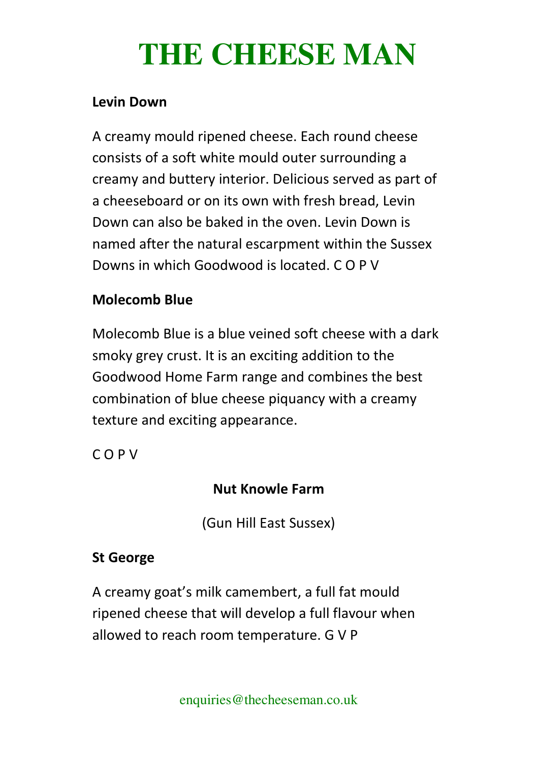#### **Levin Down**

A creamy mould ripened cheese. Each round cheese consists of a soft white mould outer surrounding a creamy and buttery interior. Delicious served as part of a cheeseboard or on its own with fresh bread, Levin Down can also be baked in the oven. Levin Down is named after the natural escarpment within the Sussex Downs in which Goodwood is located. C O P V

#### **Molecomb Blue**

Molecomb Blue is a blue veined soft cheese with a dark smoky grey crust. It is an exciting addition to the Goodwood Home Farm range and combines the best combination of blue cheese piquancy with a creamy texture and exciting appearance.

C O P V

## **Nut Knowle Farm**

(Gun Hill East Sussex)

## **St George**

A creamy goat's milk camembert, a full fat mould ripened cheese that will develop a full flavour when allowed to reach room temperature. G V P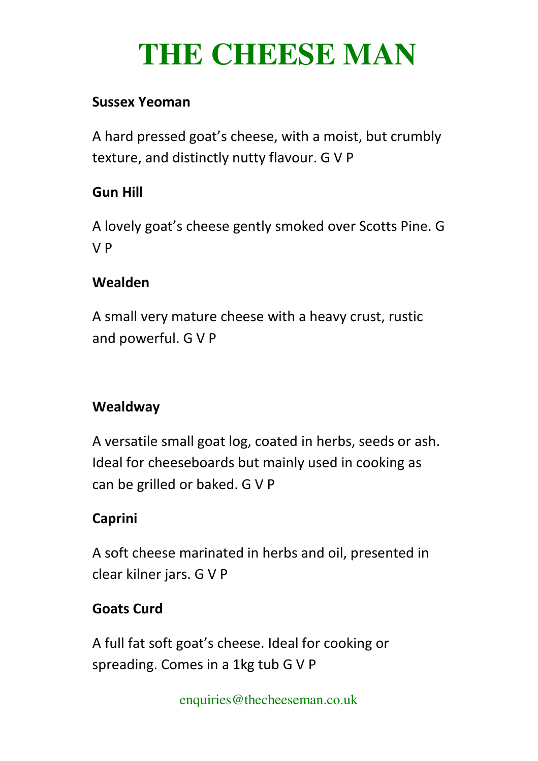#### **Sussex Yeoman**

A hard pressed goat's cheese, with a moist, but crumbly texture, and distinctly nutty flavour. G V P

#### **Gun Hill**

A lovely goat's cheese gently smoked over Scotts Pine. G V P

## **Wealden**

A small very mature cheese with a heavy crust, rustic and powerful. G V P

## **Wealdway**

A versatile small goat log, coated in herbs, seeds or ash. Ideal for cheeseboards but mainly used in cooking as can be grilled or baked. G V P

## **Caprini**

A soft cheese marinated in herbs and oil, presented in clear kilner jars. G V P

## **Goats Curd**

A full fat soft goat's cheese. Ideal for cooking or spreading. Comes in a 1kg tub G V P

enquiries@thecheeseman.co.uk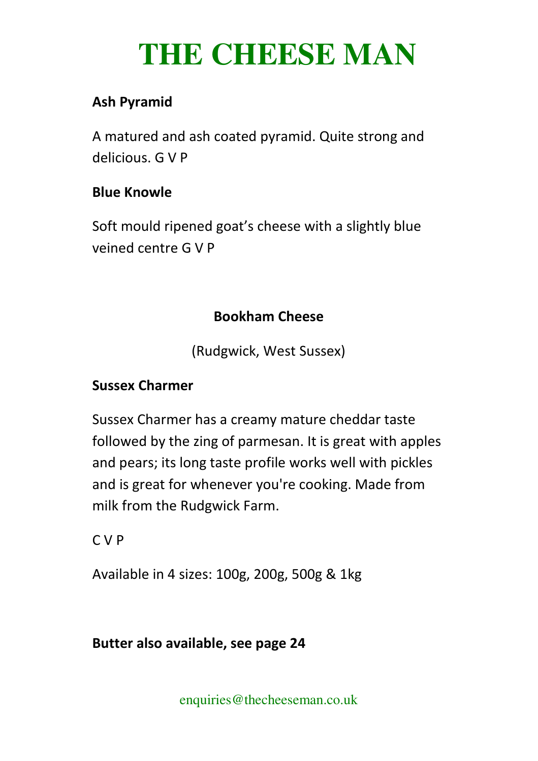## **Ash Pyramid**

A matured and ash coated pyramid. Quite strong and delicious. G V P

#### **Blue Knowle**

Soft mould ripened goat's cheese with a slightly blue veined centre G V P

#### **Bookham Cheese**

(Rudgwick, West Sussex)

#### **Sussex Charmer**

Sussex Charmer has a creamy mature cheddar taste followed by the zing of parmesan. It is great with apples and pears; its long taste profile works well with pickles and is great for whenever you're cooking. Made from milk from the Rudgwick Farm.

C V P

Available in 4 sizes: 100g, 200g, 500g & 1kg

#### **Butter also available, see page 24**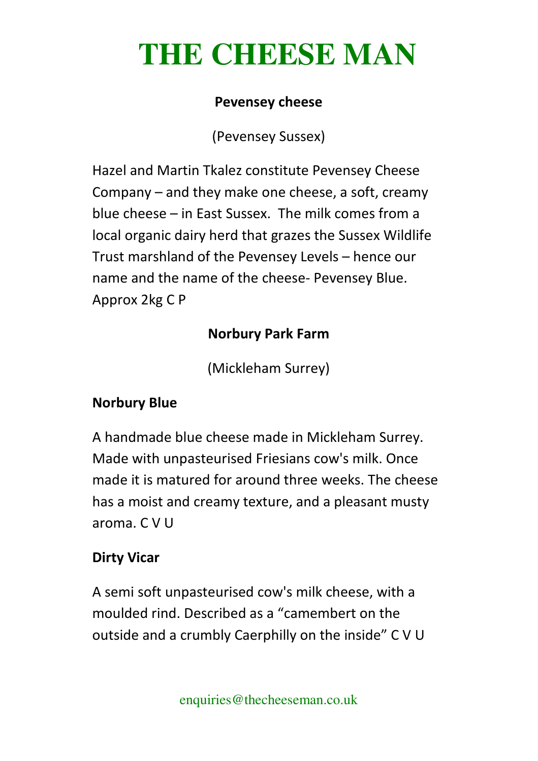#### **Pevensey cheese**

(Pevensey Sussex)

Hazel and Martin Tkalez constitute Pevensey Cheese Company – and they make one cheese, a soft, creamy blue cheese – in East Sussex. The milk comes from a local organic dairy herd that grazes the Sussex Wildlife Trust marshland of the Pevensey Levels – hence our name and the name of the cheese- Pevensey Blue. Approx 2kg C P

## **Norbury Park Farm**

(Mickleham Surrey)

## **Norbury Blue**

A handmade blue cheese made in Mickleham Surrey. Made with unpasteurised Friesians cow's milk. Once made it is matured for around three weeks. The cheese has a moist and creamy texture, and a pleasant musty aroma. C V U

## **Dirty Vicar**

A semi soft unpasteurised cow's milk cheese, with a moulded rind. Described as a "camembert on the outside and a crumbly Caerphilly on the inside" C V U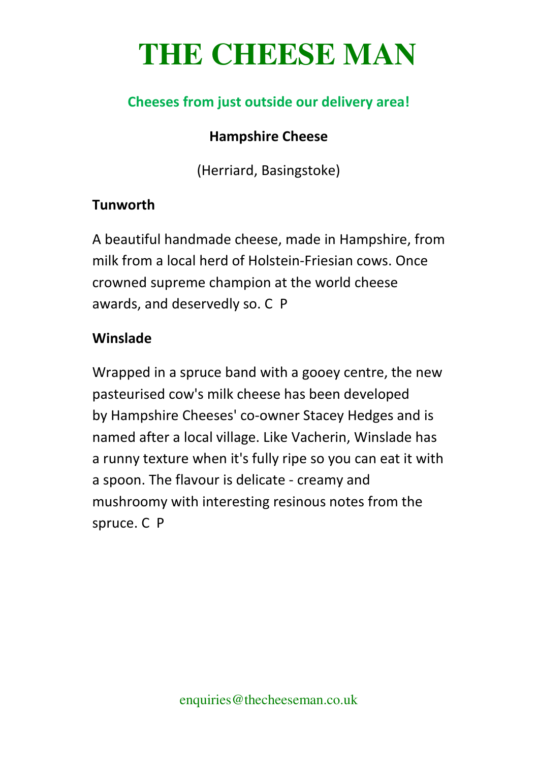## **Cheeses from just outside our delivery area!**

#### **Hampshire Cheese**

(Herriard, Basingstoke)

#### **Tunworth**

A beautiful handmade cheese, made in Hampshire, from milk from a local herd of Holstein-Friesian cows. Once crowned supreme champion at the world cheese awards, and deservedly so. C P

#### **Winslade**

Wrapped in a spruce band with a gooey centre, the new pasteurised cow's milk cheese has been developed by Hampshire Cheeses' co-owner Stacey Hedges and is named after a local village. Like Vacherin, Winslade has a runny texture when it's fully ripe so you can eat it with a spoon. The flavour is delicate - creamy and mushroomy with interesting resinous notes from the spruce. C P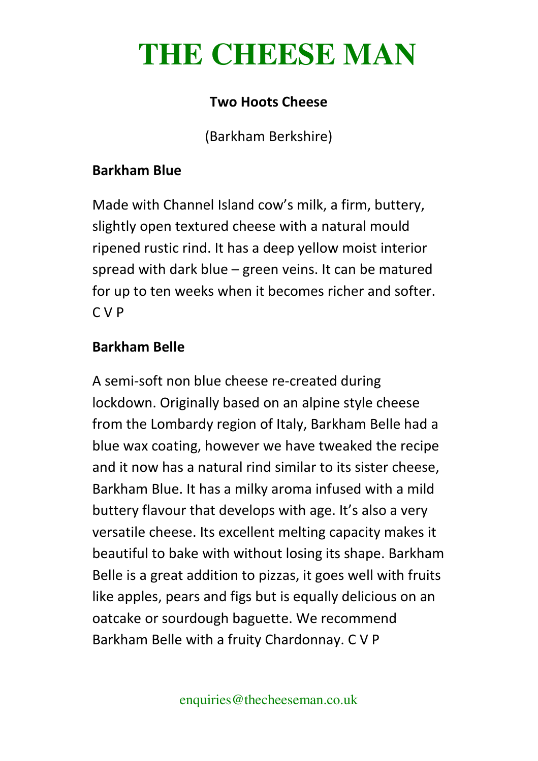#### **Two Hoots Cheese**

(Barkham Berkshire)

#### **Barkham Blue**

Made with Channel Island cow's milk, a firm, buttery, slightly open textured cheese with a natural mould ripened rustic rind. It has a deep yellow moist interior spread with dark blue – green veins. It can be matured for up to ten weeks when it becomes richer and softer. C V P

#### **Barkham Belle**

A semi-soft non blue cheese re-created during lockdown. Originally based on an alpine style cheese from the Lombardy region of Italy, Barkham Belle had a blue wax coating, however we have tweaked the recipe and it now has a natural rind similar to its sister cheese, Barkham Blue. It has a milky aroma infused with a mild buttery flavour that develops with age. It's also a very versatile cheese. Its excellent melting capacity makes it beautiful to bake with without losing its shape. Barkham Belle is a great addition to pizzas, it goes well with fruits like apples, pears and figs but is equally delicious on an oatcake or sourdough baguette. We recommend Barkham Belle with a fruity Chardonnay. C V P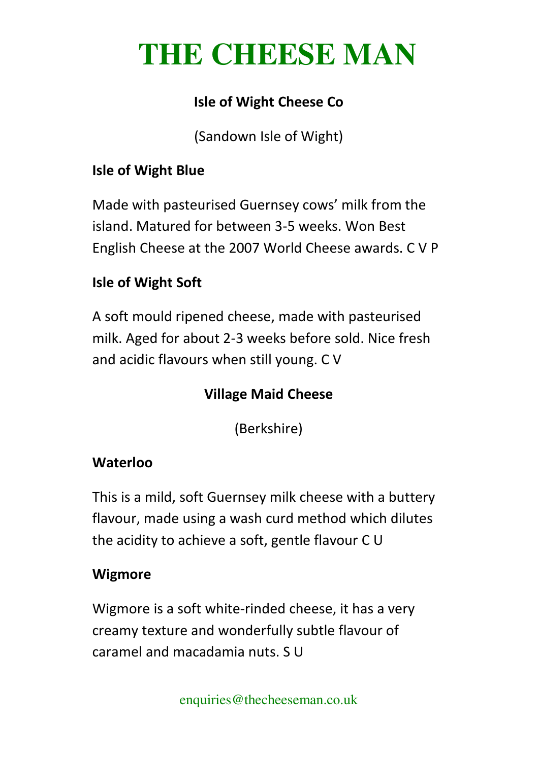## **Isle of Wight Cheese Co**

(Sandown Isle of Wight)

#### **Isle of Wight Blue**

Made with pasteurised Guernsey cows' milk from the island. Matured for between 3-5 weeks. Won Best English Cheese at the 2007 World Cheese awards. C V P

## **Isle of Wight Soft**

A soft mould ripened cheese, made with pasteurised milk. Aged for about 2-3 weeks before sold. Nice fresh and acidic flavours when still young. C V

## **Village Maid Cheese**

(Berkshire)

## **Waterloo**

This is a mild, soft Guernsey milk cheese with a buttery flavour, made using a wash curd method which dilutes the acidity to achieve a soft, gentle flavour C U

#### **Wigmore**

Wigmore is a soft white-rinded cheese, it has a very creamy texture and wonderfully subtle flavour of caramel and macadamia nuts. S U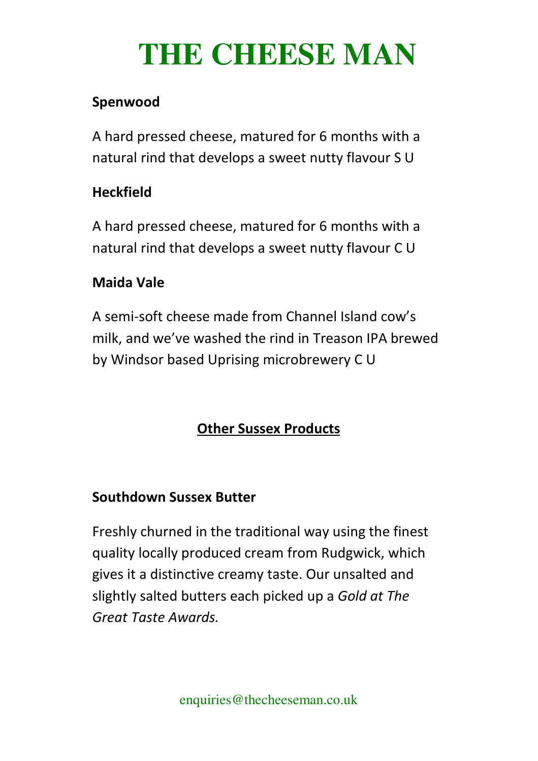## **Spenwood**

A hard pressed cheese, matured for 6 months with a natural rind that develops a sweet nutty flavour S U

#### **Heckfield**

A hard pressed cheese, matured for 6 months with a natural rind that develops a sweet nutty flavour C U

## **Maida Vale**

A semi-soft cheese made from Channel Island cow's milk, and we've washed the rind in Treason IPA brewed by Windsor based Uprising microbrewery C U

## **Other Sussex Products**

#### **Southdown Sussex Butter**

Freshly churned in the traditional way using the finest quality locally produced cream from Rudgwick, which gives it a distinctive creamy taste. Our unsalted and slightly salted butters each picked up a *Gold at The Great Taste Awards.*